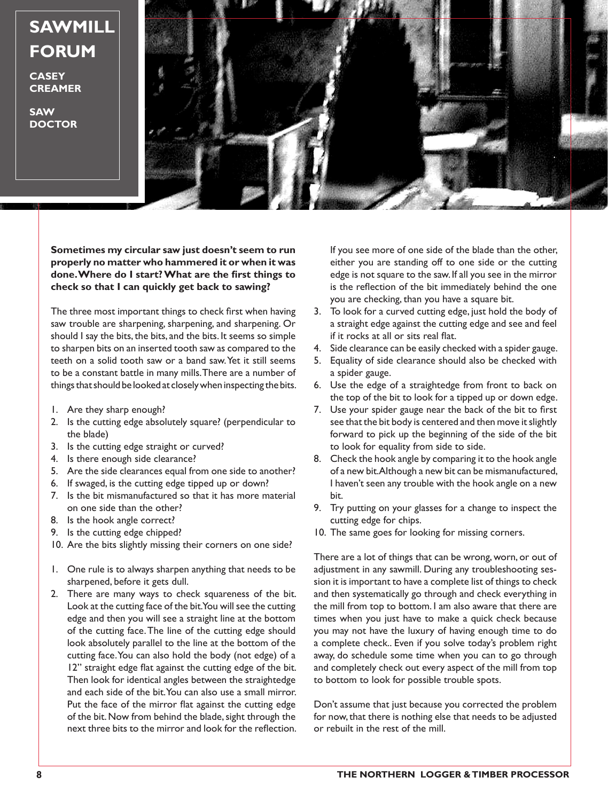## **SAWMILL FORUM**

**CASEY CREAMER**

**SAW DOCTOR**



**Sometimes my circular saw just doesn't seem to run properly no matter who hammered it or when it was done. Where do I start? What are the first things to check so that I can quickly get back to sawing?**

The three most important things to check first when having saw trouble are sharpening, sharpening, and sharpening. Or should I say the bits, the bits, and the bits. It seems so simple to sharpen bits on an inserted tooth saw as compared to the teeth on a solid tooth saw or a band saw. Yet it still seems to be a constant battle in many mills. There are a number of things that should be looked at closely when inspecting the bits.

- 1. Are they sharp enough?
- 2. Is the cutting edge absolutely square? (perpendicular to the blade)
- 3. Is the cutting edge straight or curved?
- 4. Is there enough side clearance?
- 5. Are the side clearances equal from one side to another?
- 6. If swaged, is the cutting edge tipped up or down?
- 7. Is the bit mismanufactured so that it has more material on one side than the other?
- 8. Is the hook angle correct?
- 9. Is the cutting edge chipped?
- 10. Are the bits slightly missing their corners on one side?
- 1. One rule is to always sharpen anything that needs to be sharpened, before it gets dull.
- 2. There are many ways to check squareness of the bit. Look at the cutting face of the bit. You will see the cutting edge and then you will see a straight line at the bottom of the cutting face. The line of the cutting edge should look absolutely parallel to the line at the bottom of the cutting face. You can also hold the body (not edge) of a 12" straight edge flat against the cutting edge of the bit. Then look for identical angles between the straightedge and each side of the bit. You can also use a small mirror. Put the face of the mirror flat against the cutting edge of the bit. Now from behind the blade, sight through the next three bits to the mirror and look for the reflection.

If you see more of one side of the blade than the other, either you are standing off to one side or the cutting edge is not square to the saw. If all you see in the mirror is the reflection of the bit immediately behind the one you are checking, than you have a square bit.

- 3. To look for a curved cutting edge, just hold the body of a straight edge against the cutting edge and see and feel if it rocks at all or sits real flat.
- 4. Side clearance can be easily checked with a spider gauge.
- 5. Equality of side clearance should also be checked with a spider gauge.
- 6. Use the edge of a straightedge from front to back on the top of the bit to look for a tipped up or down edge.
- 7. Use your spider gauge near the back of the bit to first see that the bit body is centered and then move it slightly forward to pick up the beginning of the side of the bit to look for equality from side to side.
- 8. Check the hook angle by comparing it to the hook angle of a new bit. Although a new bit can be mismanufactured, I haven't seen any trouble with the hook angle on a new bit.
- 9. Try putting on your glasses for a change to inspect the cutting edge for chips.
- 10. The same goes for looking for missing corners.

There are a lot of things that can be wrong, worn, or out of adjustment in any sawmill. During any troubleshooting session it is important to have a complete list of things to check and then systematically go through and check everything in the mill from top to bottom. I am also aware that there are times when you just have to make a quick check because you may not have the luxury of having enough time to do a complete check.. Even if you solve today's problem right away, do schedule some time when you can to go through and completely check out every aspect of the mill from top to bottom to look for possible trouble spots.

Don't assume that just because you corrected the problem for now, that there is nothing else that needs to be adjusted or rebuilt in the rest of the mill.